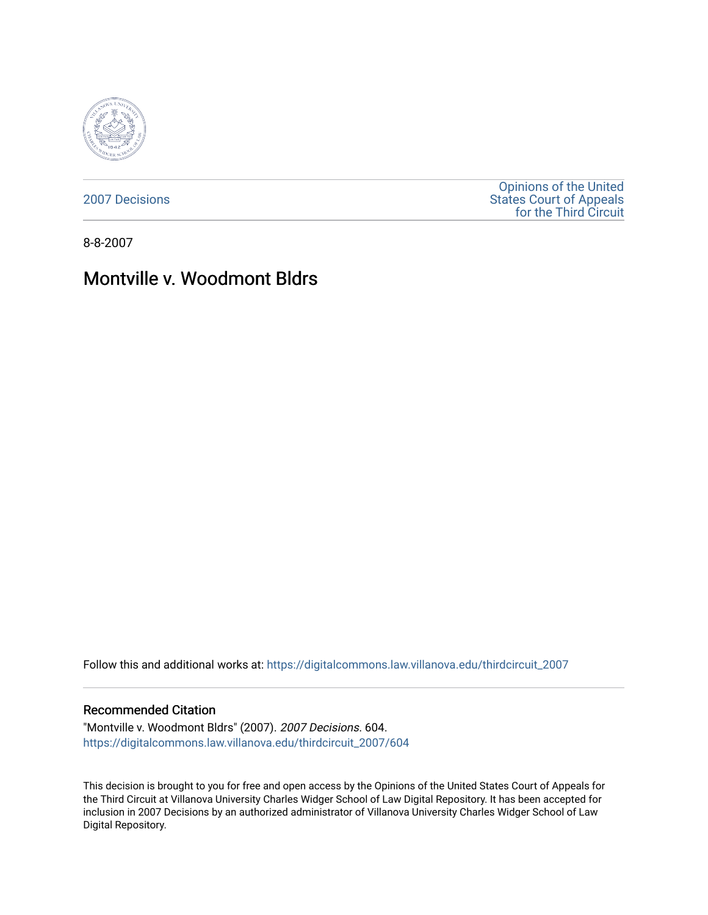

[2007 Decisions](https://digitalcommons.law.villanova.edu/thirdcircuit_2007)

[Opinions of the United](https://digitalcommons.law.villanova.edu/thirdcircuit)  [States Court of Appeals](https://digitalcommons.law.villanova.edu/thirdcircuit)  [for the Third Circuit](https://digitalcommons.law.villanova.edu/thirdcircuit) 

8-8-2007

# Montville v. Woodmont Bldrs

Follow this and additional works at: [https://digitalcommons.law.villanova.edu/thirdcircuit\\_2007](https://digitalcommons.law.villanova.edu/thirdcircuit_2007?utm_source=digitalcommons.law.villanova.edu%2Fthirdcircuit_2007%2F604&utm_medium=PDF&utm_campaign=PDFCoverPages) 

### Recommended Citation

"Montville v. Woodmont Bldrs" (2007). 2007 Decisions. 604. [https://digitalcommons.law.villanova.edu/thirdcircuit\\_2007/604](https://digitalcommons.law.villanova.edu/thirdcircuit_2007/604?utm_source=digitalcommons.law.villanova.edu%2Fthirdcircuit_2007%2F604&utm_medium=PDF&utm_campaign=PDFCoverPages)

This decision is brought to you for free and open access by the Opinions of the United States Court of Appeals for the Third Circuit at Villanova University Charles Widger School of Law Digital Repository. It has been accepted for inclusion in 2007 Decisions by an authorized administrator of Villanova University Charles Widger School of Law Digital Repository.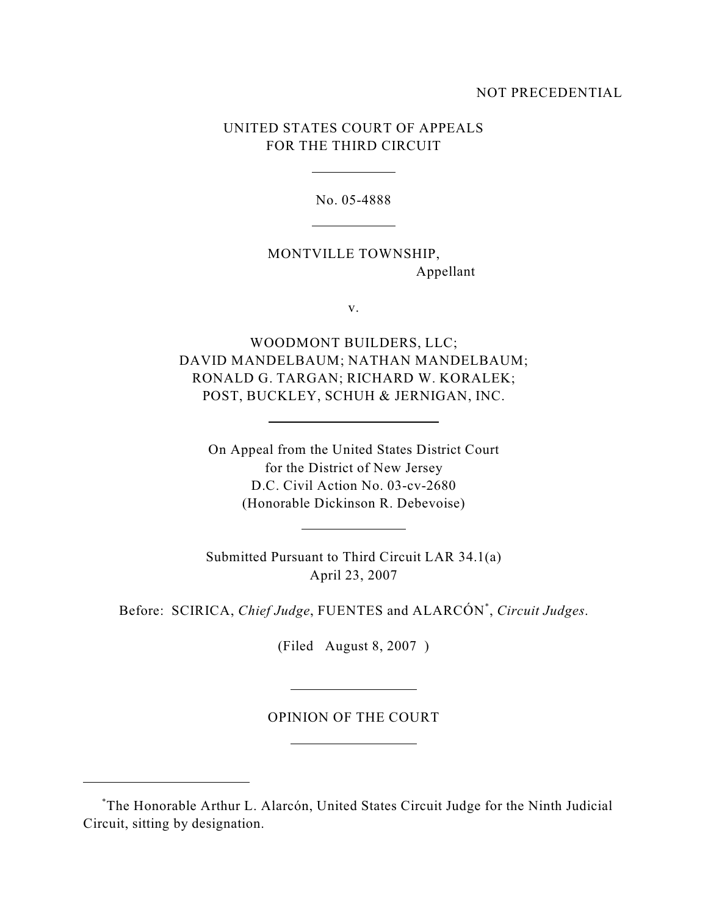## NOT PRECEDENTIAL

# UNITED STATES COURT OF APPEALS FOR THE THIRD CIRCUIT

No. 05-4888

MONTVILLE TOWNSHIP, Appellant

v.

WOODMONT BUILDERS, LLC; DAVID MANDELBAUM; NATHAN MANDELBAUM; RONALD G. TARGAN; RICHARD W. KORALEK; POST, BUCKLEY, SCHUH & JERNIGAN, INC.

On Appeal from the United States District Court for the District of New Jersey D.C. Civil Action No. 03-cv-2680 (Honorable Dickinson R. Debevoise)

Submitted Pursuant to Third Circuit LAR 34.1(a) April 23, 2007

Before: SCIRICA, *Chief Judge*, FUENTES and ALARCÓN<sup>\*</sup>, *Circuit Judges*.

(Filed August 8, 2007 )

OPINION OF THE COURT

The Honorable Arthur L. Alarcón, United States Circuit Judge for the Ninth Judicial \* Circuit, sitting by designation.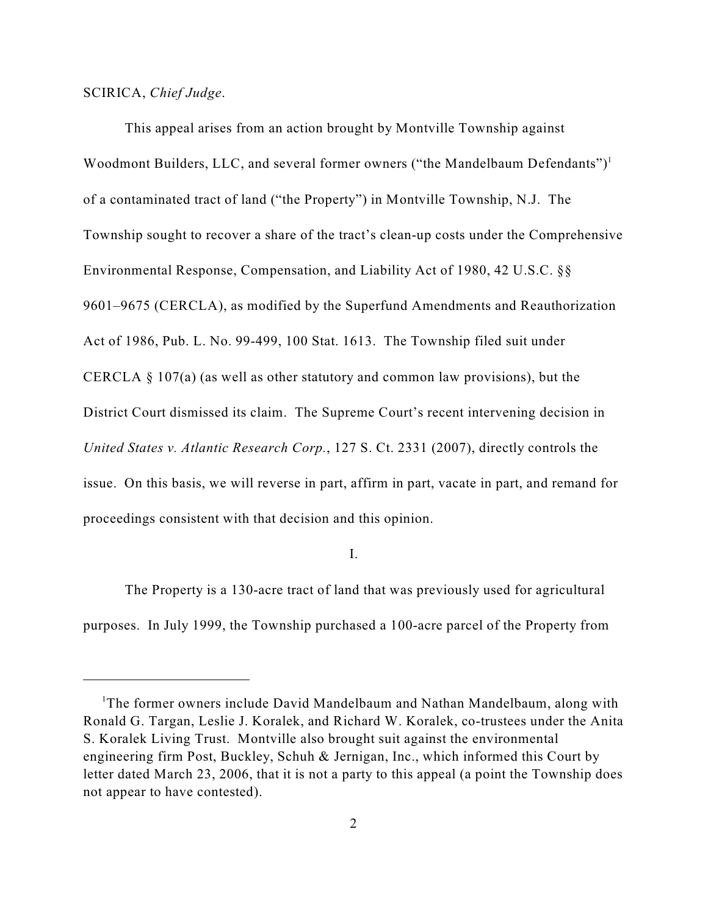## SCIRICA, *Chief Judge*.

This appeal arises from an action brought by Montville Township against Woodmont Builders, LLC, and several former owners ("the Mandelbaum Defendants") $<sup>1</sup>$ </sup> of a contaminated tract of land ("the Property") in Montville Township, N.J. The Township sought to recover a share of the tract's clean-up costs under the Comprehensive Environmental Response, Compensation, and Liability Act of 1980, 42 U.S.C. §§ 9601–9675 (CERCLA), as modified by the Superfund Amendments and Reauthorization Act of 1986, Pub. L. No. 99-499, 100 Stat. 1613. The Township filed suit under CERCLA § 107(a) (as well as other statutory and common law provisions), but the District Court dismissed its claim. The Supreme Court's recent intervening decision in *United States v. Atlantic Research Corp.*, 127 S. Ct. 2331 (2007), directly controls the issue. On this basis, we will reverse in part, affirm in part, vacate in part, and remand for proceedings consistent with that decision and this opinion.

I.

The Property is a 130-acre tract of land that was previously used for agricultural purposes. In July 1999, the Township purchased a 100-acre parcel of the Property from

<sup>&</sup>lt;sup>1</sup>The former owners include David Mandelbaum and Nathan Mandelbaum, along with Ronald G. Targan, Leslie J. Koralek, and Richard W. Koralek, co-trustees under the Anita S. Koralek Living Trust. Montville also brought suit against the environmental engineering firm Post, Buckley, Schuh & Jernigan, Inc., which informed this Court by letter dated March 23, 2006, that it is not a party to this appeal (a point the Township does not appear to have contested).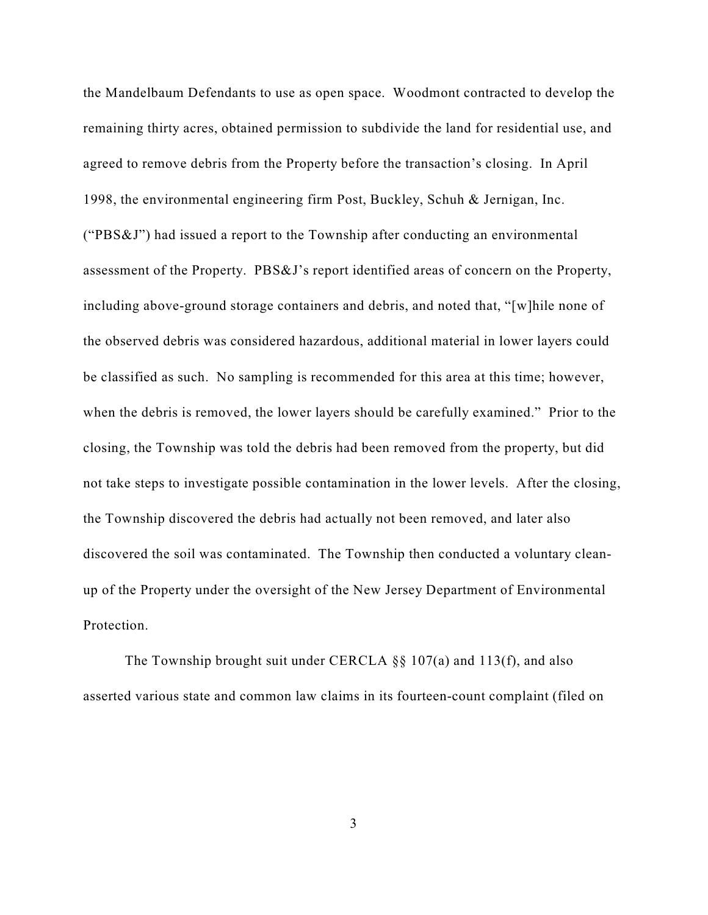the Mandelbaum Defendants to use as open space. Woodmont contracted to develop the remaining thirty acres, obtained permission to subdivide the land for residential use, and agreed to remove debris from the Property before the transaction's closing. In April 1998, the environmental engineering firm Post, Buckley, Schuh & Jernigan, Inc. ("PBS&J") had issued a report to the Township after conducting an environmental assessment of the Property. PBS&J's report identified areas of concern on the Property, including above-ground storage containers and debris, and noted that, "[w]hile none of the observed debris was considered hazardous, additional material in lower layers could be classified as such. No sampling is recommended for this area at this time; however, when the debris is removed, the lower layers should be carefully examined." Prior to the closing, the Township was told the debris had been removed from the property, but did not take steps to investigate possible contamination in the lower levels. After the closing, the Township discovered the debris had actually not been removed, and later also discovered the soil was contaminated. The Township then conducted a voluntary cleanup of the Property under the oversight of the New Jersey Department of Environmental Protection.

The Township brought suit under CERCLA §§ 107(a) and 113(f), and also asserted various state and common law claims in its fourteen-count complaint (filed on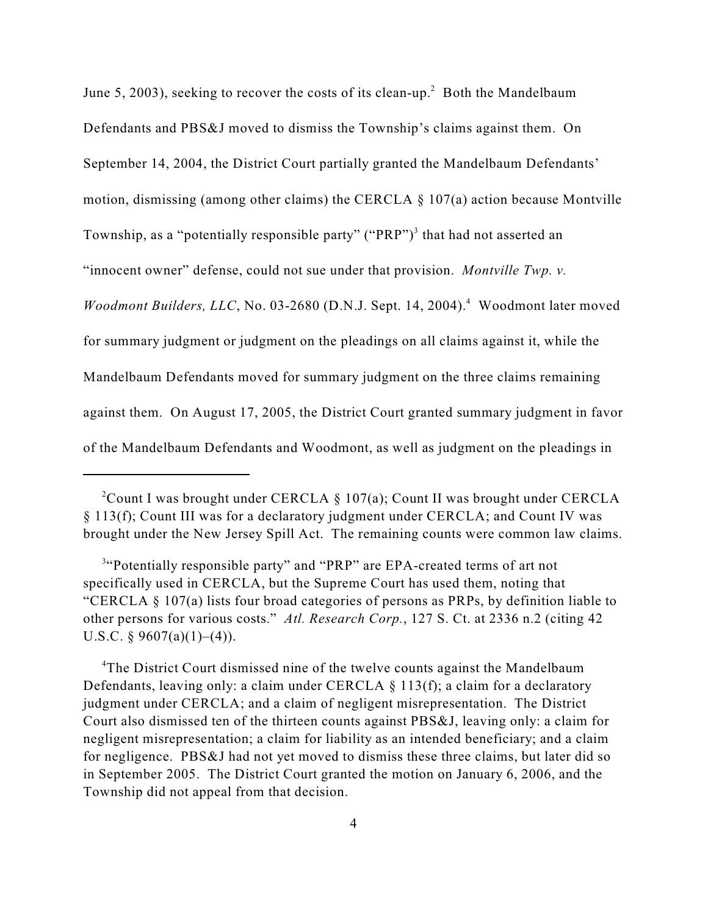June 5, 2003), seeking to recover the costs of its clean-up.<sup>2</sup> Both the Mandelbaum Defendants and PBS&J moved to dismiss the Township's claims against them. On September 14, 2004, the District Court partially granted the Mandelbaum Defendants' motion, dismissing (among other claims) the CERCLA § 107(a) action because Montville Township, as a "potentially responsible party" ("PRP")<sup>3</sup> that had not asserted an "innocent owner" defense, could not sue under that provision. *Montville Twp. v. Woodmont Builders, LLC, No.* 03-2680 (D.N.J. Sept. 14, 2004).<sup>4</sup> Woodmont later moved for summary judgment or judgment on the pleadings on all claims against it, while the Mandelbaum Defendants moved for summary judgment on the three claims remaining against them. On August 17, 2005, the District Court granted summary judgment in favor of the Mandelbaum Defendants and Woodmont, as well as judgment on the pleadings in

<sup>4</sup>The District Court dismissed nine of the twelve counts against the Mandelbaum Defendants, leaving only: a claim under CERCLA  $\S$  113(f); a claim for a declaratory judgment under CERCLA; and a claim of negligent misrepresentation. The District Court also dismissed ten of the thirteen counts against PBS&J, leaving only: a claim for negligent misrepresentation; a claim for liability as an intended beneficiary; and a claim for negligence. PBS&J had not yet moved to dismiss these three claims, but later did so in September 2005. The District Court granted the motion on January 6, 2006, and the Township did not appeal from that decision.

<sup>&</sup>lt;sup>2</sup>Count I was brought under CERCLA § 107(a); Count II was brought under CERCLA § 113(f); Count III was for a declaratory judgment under CERCLA; and Count IV was brought under the New Jersey Spill Act. The remaining counts were common law claims.

<sup>&</sup>lt;sup>3"</sup>Potentially responsible party" and "PRP" are EPA-created terms of art not specifically used in CERCLA, but the Supreme Court has used them, noting that "CERCLA § 107(a) lists four broad categories of persons as PRPs, by definition liable to other persons for various costs." *Atl. Research Corp.*, 127 S. Ct. at 2336 n.2 (citing 42 U.S.C. § 9607(a)(1)–(4)).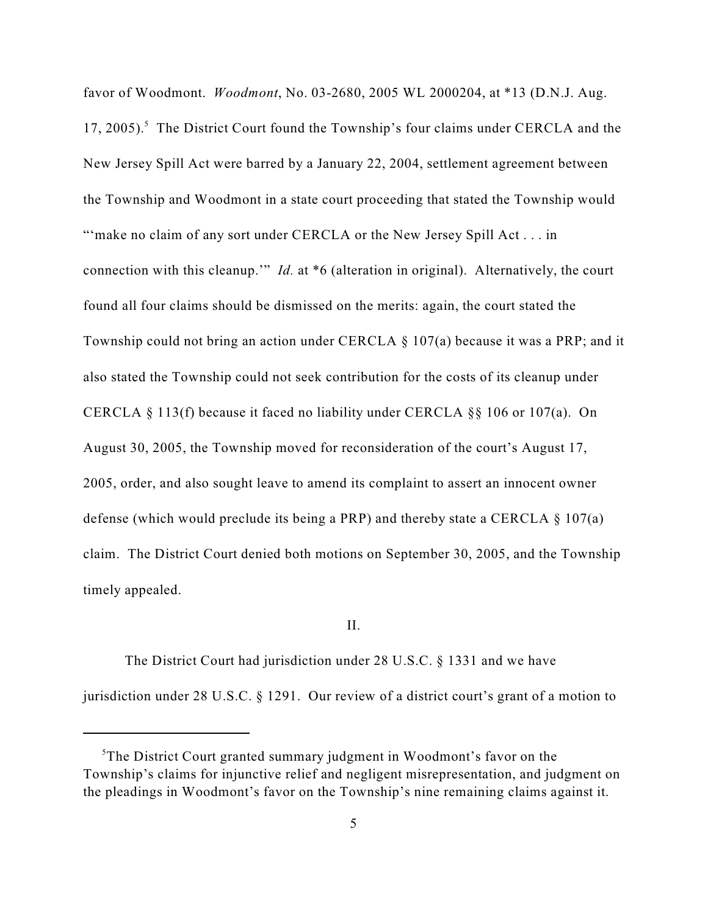favor of Woodmont. *Woodmont*, No. 03-2680, 2005 WL 2000204, at \*13 (D.N.J. Aug. 17, 2005).<sup>5</sup> The District Court found the Township's four claims under CERCLA and the New Jersey Spill Act were barred by a January 22, 2004, settlement agreement between the Township and Woodmont in a state court proceeding that stated the Township would "'make no claim of any sort under CERCLA or the New Jersey Spill Act . . . in connection with this cleanup.'" *Id.* at \*6 (alteration in original). Alternatively, the court found all four claims should be dismissed on the merits: again, the court stated the Township could not bring an action under CERCLA § 107(a) because it was a PRP; and it also stated the Township could not seek contribution for the costs of its cleanup under CERCLA § 113(f) because it faced no liability under CERCLA §§ 106 or 107(a). On August 30, 2005, the Township moved for reconsideration of the court's August 17, 2005, order, and also sought leave to amend its complaint to assert an innocent owner defense (which would preclude its being a PRP) and thereby state a CERCLA § 107(a) claim. The District Court denied both motions on September 30, 2005, and the Township timely appealed.

#### II.

The District Court had jurisdiction under 28 U.S.C. § 1331 and we have jurisdiction under 28 U.S.C. § 1291. Our review of a district court's grant of a motion to

 ${}^{5}$ The District Court granted summary judgment in Woodmont's favor on the Township's claims for injunctive relief and negligent misrepresentation, and judgment on the pleadings in Woodmont's favor on the Township's nine remaining claims against it.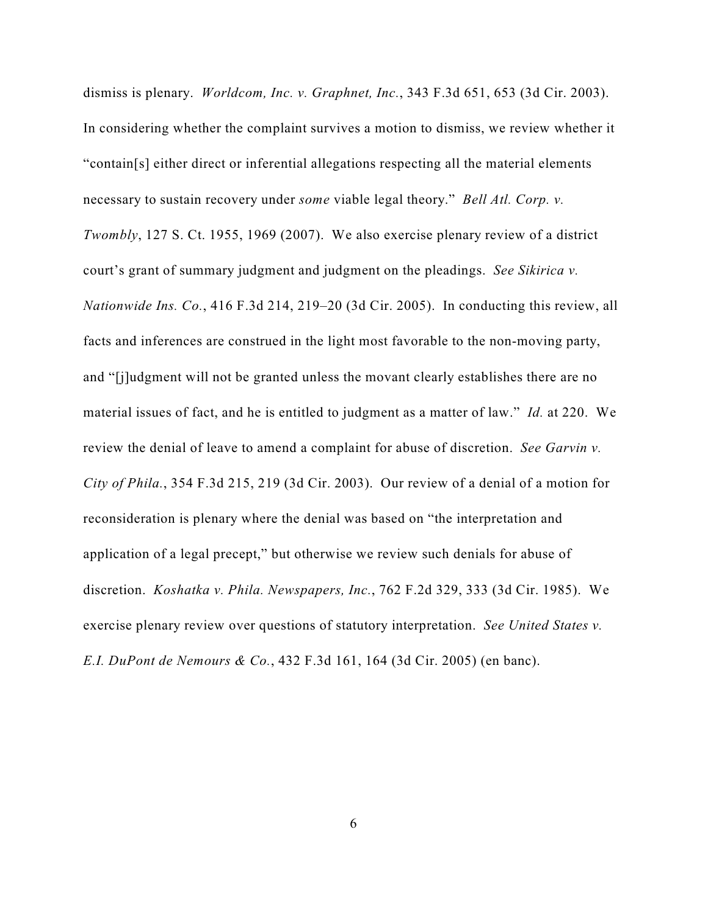dismiss is plenary. *Worldcom, Inc. v. Graphnet, Inc.*, 343 F.3d 651, 653 (3d Cir. 2003). In considering whether the complaint survives a motion to dismiss, we review whether it "contain[s] either direct or inferential allegations respecting all the material elements necessary to sustain recovery under *some* viable legal theory." *Bell Atl. Corp. v. Twombly*, 127 S. Ct. 1955, 1969 (2007). We also exercise plenary review of a district court's grant of summary judgment and judgment on the pleadings. *See Sikirica v. Nationwide Ins. Co.*, 416 F.3d 214, 219–20 (3d Cir. 2005). In conducting this review, all facts and inferences are construed in the light most favorable to the non-moving party, and "[j]udgment will not be granted unless the movant clearly establishes there are no material issues of fact, and he is entitled to judgment as a matter of law." *Id.* at 220. We review the denial of leave to amend a complaint for abuse of discretion. *See Garvin v. City of Phila.*, 354 F.3d 215, 219 (3d Cir. 2003). Our review of a denial of a motion for reconsideration is plenary where the denial was based on "the interpretation and application of a legal precept," but otherwise we review such denials for abuse of discretion. *Koshatka v. Phila. Newspapers, Inc.*, 762 F.2d 329, 333 (3d Cir. 1985). We exercise plenary review over questions of statutory interpretation. *See United States v. E.I. DuPont de Nemours & Co.*, 432 F.3d 161, 164 (3d Cir. 2005) (en banc).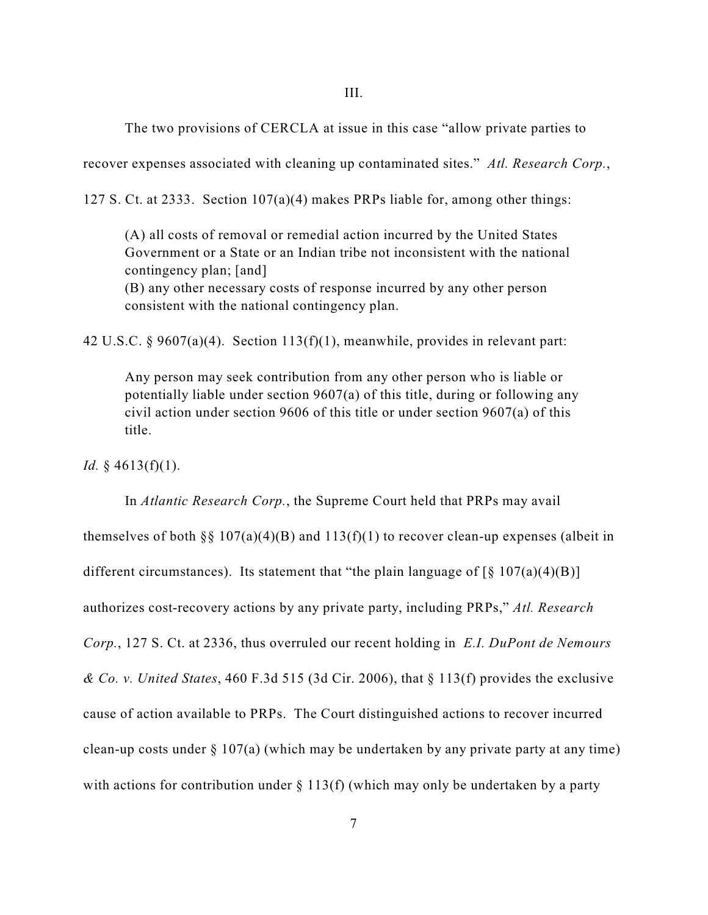The two provisions of CERCLA at issue in this case "allow private parties to

recover expenses associated with cleaning up contaminated sites." *Atl. Research Corp.*,

127 S. Ct. at 2333. Section 107(a)(4) makes PRPs liable for, among other things:

(A) all costs of removal or remedial action incurred by the United States Government or a State or an Indian tribe not inconsistent with the national contingency plan; [and]

(B) any other necessary costs of response incurred by any other person consistent with the national contingency plan.

42 U.S.C. § 9607(a)(4). Section 113(f)(1), meanwhile, provides in relevant part:

Any person may seek contribution from any other person who is liable or potentially liable under section 9607(a) of this title, during or following any civil action under section 9606 of this title or under section 9607(a) of this title.

*Id.* § 4613(f)(1).

In *Atlantic Research Corp.*, the Supreme Court held that PRPs may avail themselves of both §§ 107(a)(4)(B) and 113(f)(1) to recover clean-up expenses (albeit in different circumstances). Its statement that "the plain language of  $\lceil \S 107(a)(4)(B) \rceil$ authorizes cost-recovery actions by any private party, including PRPs," *Atl. Research Corp.*, 127 S. Ct. at 2336, thus overruled our recent holding in *E.I. DuPont de Nemours & Co. v. United States*, 460 F.3d 515 (3d Cir. 2006), that § 113(f) provides the exclusive cause of action available to PRPs. The Court distinguished actions to recover incurred clean-up costs under  $\S 107(a)$  (which may be undertaken by any private party at any time) with actions for contribution under  $\S 113(f)$  (which may only be undertaken by a party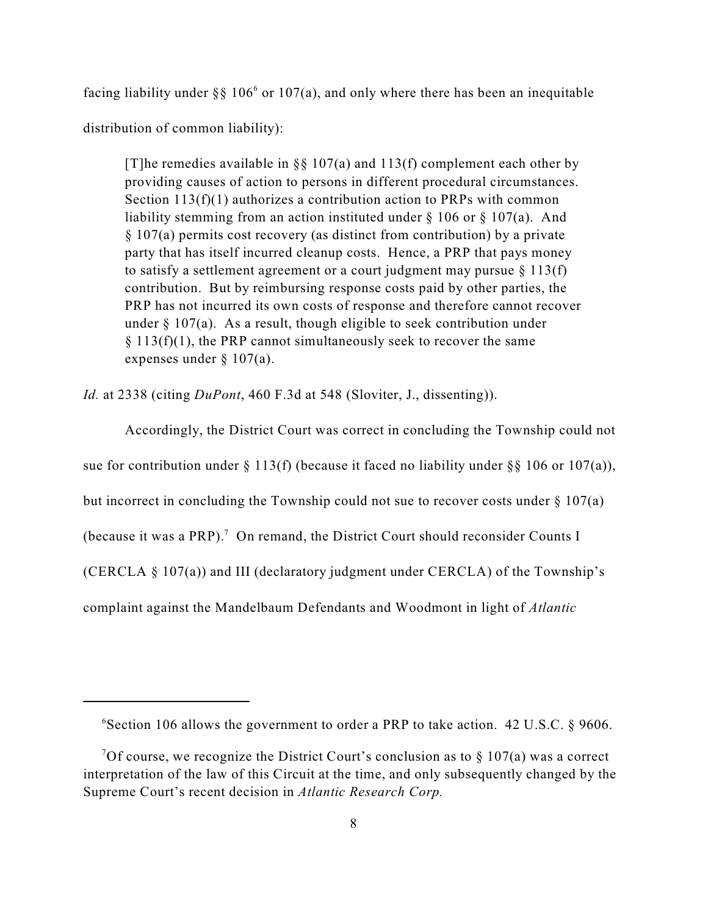facing liability under §§ 106<sup>6</sup> or 107(a), and only where there has been an inequitable distribution of common liability):

[T]he remedies available in §§ 107(a) and 113(f) complement each other by providing causes of action to persons in different procedural circumstances. Section 113(f)(1) authorizes a contribution action to PRPs with common liability stemming from an action instituted under  $\S 106$  or  $\S 107(a)$ . And § 107(a) permits cost recovery (as distinct from contribution) by a private party that has itself incurred cleanup costs. Hence, a PRP that pays money to satisfy a settlement agreement or a court judgment may pursue  $\S 113(f)$ contribution. But by reimbursing response costs paid by other parties, the PRP has not incurred its own costs of response and therefore cannot recover under  $\S 107(a)$ . As a result, though eligible to seek contribution under  $§ 113(f)(1)$ , the PRP cannot simultaneously seek to recover the same expenses under § 107(a).

*Id.* at 2338 (citing *DuPont*, 460 F.3d at 548 (Sloviter, J., dissenting)).

Accordingly, the District Court was correct in concluding the Township could not sue for contribution under  $\S 113(f)$  (because it faced no liability under  $\S \ \ 106$  or  $107(a)$ ), but incorrect in concluding the Township could not sue to recover costs under  $\S 107(a)$ (because it was a PRP).<sup>7</sup> On remand, the District Court should reconsider Counts I (CERCLA § 107(a)) and III (declaratory judgment under CERCLA) of the Township's complaint against the Mandelbaum Defendants and Woodmont in light of *Atlantic*

 ${}^{6}$ Section 106 allows the government to order a PRP to take action. 42 U.S.C. § 9606.

<sup>&</sup>lt;sup>7</sup>Of course, we recognize the District Court's conclusion as to  $\S 107(a)$  was a correct interpretation of the law of this Circuit at the time, and only subsequently changed by the Supreme Court's recent decision in *Atlantic Research Corp.*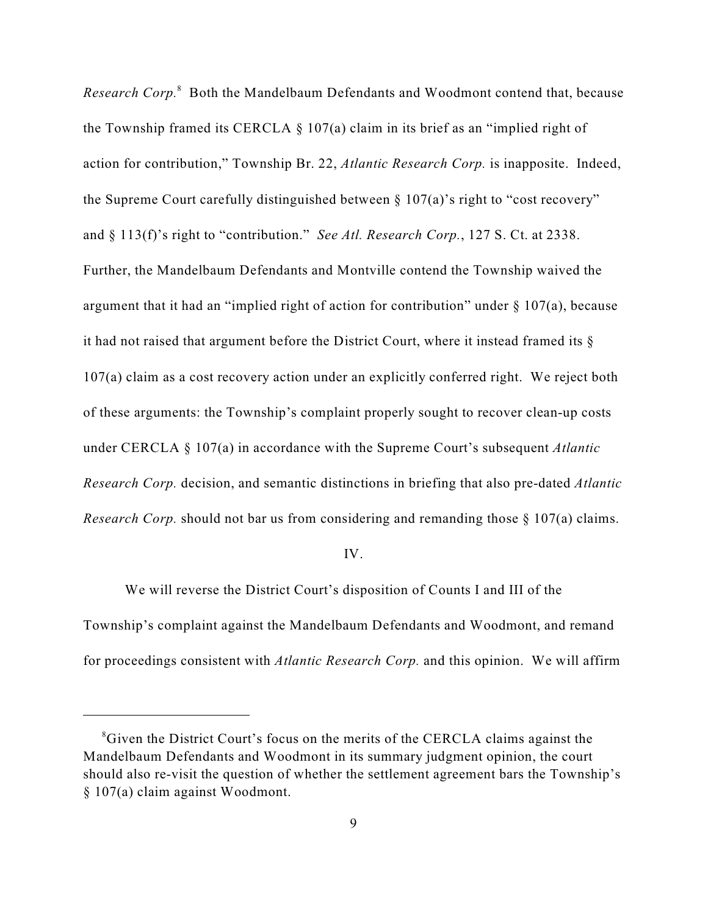*Research Corp.*<sup>8</sup> Both the Mandelbaum Defendants and Woodmont contend that, because the Township framed its CERCLA  $\S$  107(a) claim in its brief as an "implied right of action for contribution," Township Br. 22, *Atlantic Research Corp.* is inapposite. Indeed, the Supreme Court carefully distinguished between § 107(a)'s right to "cost recovery" and § 113(f)'s right to "contribution." *See Atl. Research Corp.*, 127 S. Ct. at 2338. Further, the Mandelbaum Defendants and Montville contend the Township waived the argument that it had an "implied right of action for contribution" under  $\S$  107(a), because it had not raised that argument before the District Court, where it instead framed its § 107(a) claim as a cost recovery action under an explicitly conferred right. We reject both of these arguments: the Township's complaint properly sought to recover clean-up costs under CERCLA § 107(a) in accordance with the Supreme Court's subsequent *Atlantic Research Corp.* decision, and semantic distinctions in briefing that also pre-dated *Atlantic Research Corp.* should not bar us from considering and remanding those § 107(a) claims.

## IV.

We will reverse the District Court's disposition of Counts I and III of the Township's complaint against the Mandelbaum Defendants and Woodmont, and remand for proceedings consistent with *Atlantic Research Corp.* and this opinion. We will affirm

<sup>&</sup>lt;sup>8</sup>Given the District Court's focus on the merits of the CERCLA claims against the Mandelbaum Defendants and Woodmont in its summary judgment opinion, the court should also re-visit the question of whether the settlement agreement bars the Township's § 107(a) claim against Woodmont.